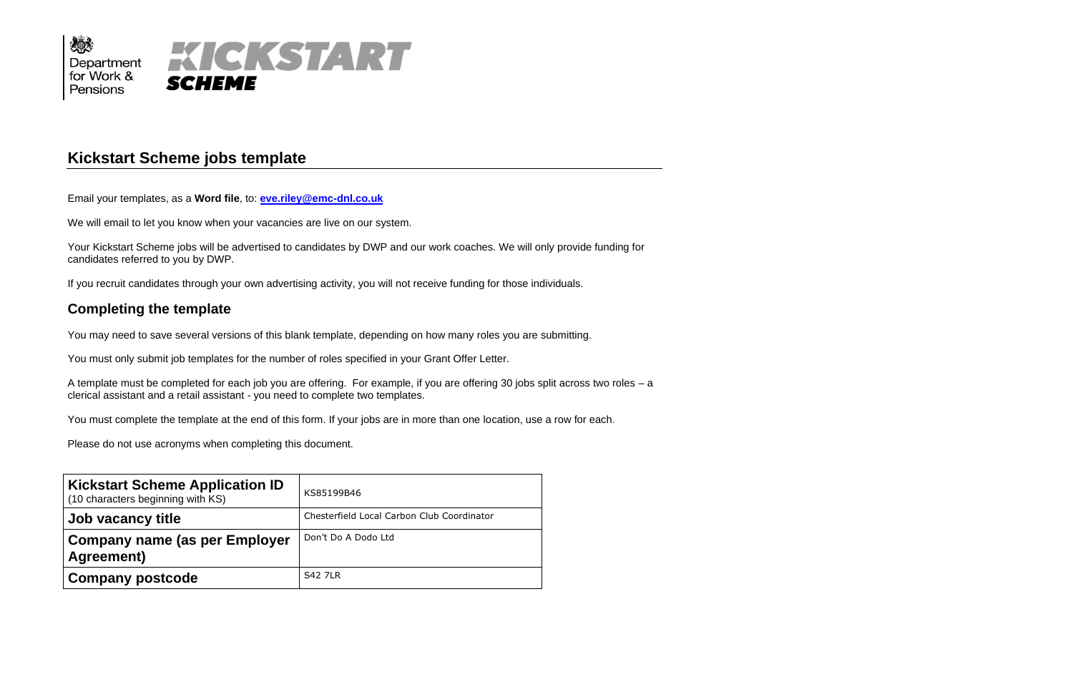

# **Kickstart Scheme jobs template**

Email your templates, as a **Word file**, to: **[eve.riley@emc-dnl.co.uk](mailto:eve.riley@emc-dnl.co.uk)**

We will email to let you know when your vacancies are live on our system.

Your Kickstart Scheme jobs will be advertised to candidates by DWP and our work coaches. We will only provide funding for candidates referred to you by DWP.

If you recruit candidates through your own advertising activity, you will not receive funding for those individuals.

## **Completing the template**

You may need to save several versions of this blank template, depending on how many roles you are submitting.

You must only submit job templates for the number of roles specified in your Grant Offer Letter.

A template must be completed for each job you are offering. For example, if you are offering 30 jobs split across two roles – a clerical assistant and a retail assistant - you need to complete two templates.

You must complete the template at the end of this form. If your jobs are in more than one location, use a row for each.

Please do not use acronyms when completing this document.

| <b>Kickstart Scheme Application ID</b><br>(10 characters beginning with KS) | KS85199B46                                 |
|-----------------------------------------------------------------------------|--------------------------------------------|
| Job vacancy title                                                           | Chesterfield Local Carbon Club Coordinator |
| <b>Company name (as per Employer</b><br>Agreement)                          | Don't Do A Dodo Ltd                        |
| <b>Company postcode</b>                                                     | <b>S42 7LR</b>                             |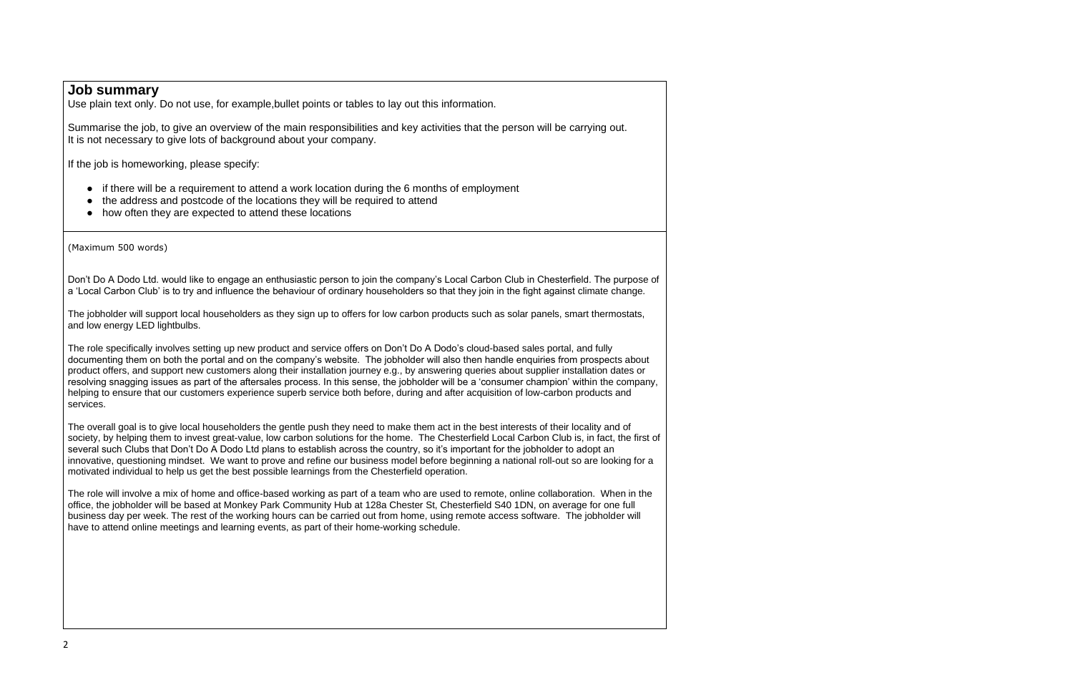### **Job summary**

Use plain text only. Do not use, for example,bullet points or tables to lay out this information.

- if there will be a requirement to attend a work location during the 6 months of employment
- the address and postcode of the locations they will be required to attend
- how often they are expected to attend these locations

Summarise the job, to give an overview of the main responsibilities and key activities that the person will be carrying out. It is not necessary to give lots of background about your company.

If the job is homeworking, please specify:

(Maximum 500 words)

Don't Do A Dodo Ltd. would like to engage an enthusiastic person to join the company's Local Carbon Club in Chesterfield. The purpose of a 'Local Carbon Club' is to try and influence the behaviour of ordinary householders so that they join in the fight against climate change.

The jobholder will support local householders as they sign up to offers for low carbon products such as solar panels, smart thermostats, and low energy LED lightbulbs.

The role specifically involves setting up new product and service offers on Don't Do A Dodo's cloud-based sales portal, and fully documenting them on both the portal and on the company's website. The jobholder will also then handle enquiries from prospects about product offers, and support new customers along their installation journey e.g., by answering queries about supplier installation dates or resolving snagging issues as part of the aftersales process. In this sense, the jobholder will be a 'consumer champion' within the company, helping to ensure that our customers experience superb service both before, during and after acquisition of low-carbon products and services.

The overall goal is to give local householders the gentle push they need to make them act in the best interests of their locality and of society, by helping them to invest great-value, low carbon solutions for the home. The Chesterfield Local Carbon Club is, in fact, the first of several such Clubs that Don't Do A Dodo Ltd plans to establish across the country, so it's important for the jobholder to adopt an innovative, questioning mindset. We want to prove and refine our business model before beginning a national roll-out so are looking for a motivated individual to help us get the best possible learnings from the Chesterfield operation.

The role will involve a mix of home and office-based working as part of a team who are used to remote, online collaboration. When in the office, the jobholder will be based at Monkey Park Community Hub at 128a Chester St, Chesterfield S40 1DN, on average for one full business day per week. The rest of the working hours can be carried out from home, using remote access software. The jobholder will have to attend online meetings and learning events, as part of their home-working schedule.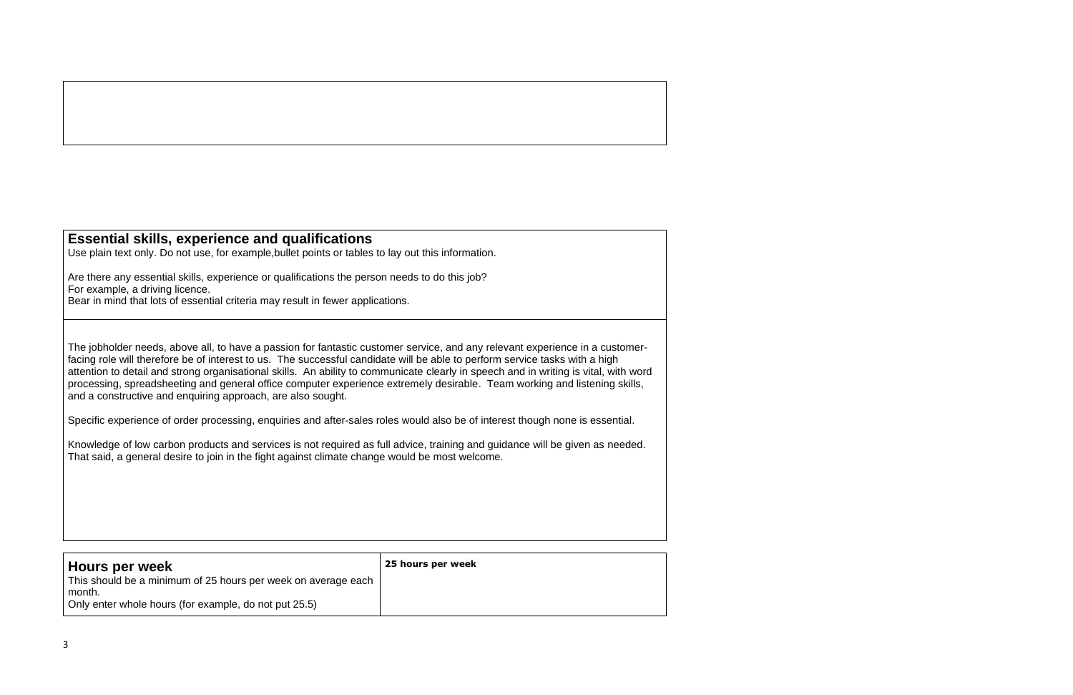## **Essential skills, experience and qualifications**

Use plain text only. Do not use, for example,bullet points or tables to lay out this information.

Are there any essential skills, experience or qualifications the person needs to do this job? For example, a driving licence. Bear in mind that lots of essential criteria may result in fewer applications.

The jobholder needs, above all, to have a passion for fantastic customer service, and any relevant experience in a customerfacing role will therefore be of interest to us. The successful candidate will be able to perform service tasks with a high attention to detail and strong organisational skills. An ability to communicate clearly in speech and in writing is vital, with word processing, spreadsheeting and general office computer experience extremely desirable. Team working and listening skills, and a constructive and enquiring approach, are also sought.

Specific experience of order processing, enquiries and after-sales roles would also be of interest though none is essential.

Knowledge of low carbon products and services is not required as full advice, training and guidance will be given as needed. That said, a general desire to join in the fight against climate change would be most welcome.

| Hours per week                                                                                                                   | 25 hours per week |
|----------------------------------------------------------------------------------------------------------------------------------|-------------------|
| This should be a minimum of 25 hours per week on average each<br>month.<br>Only enter whole hours (for example, do not put 25.5) |                   |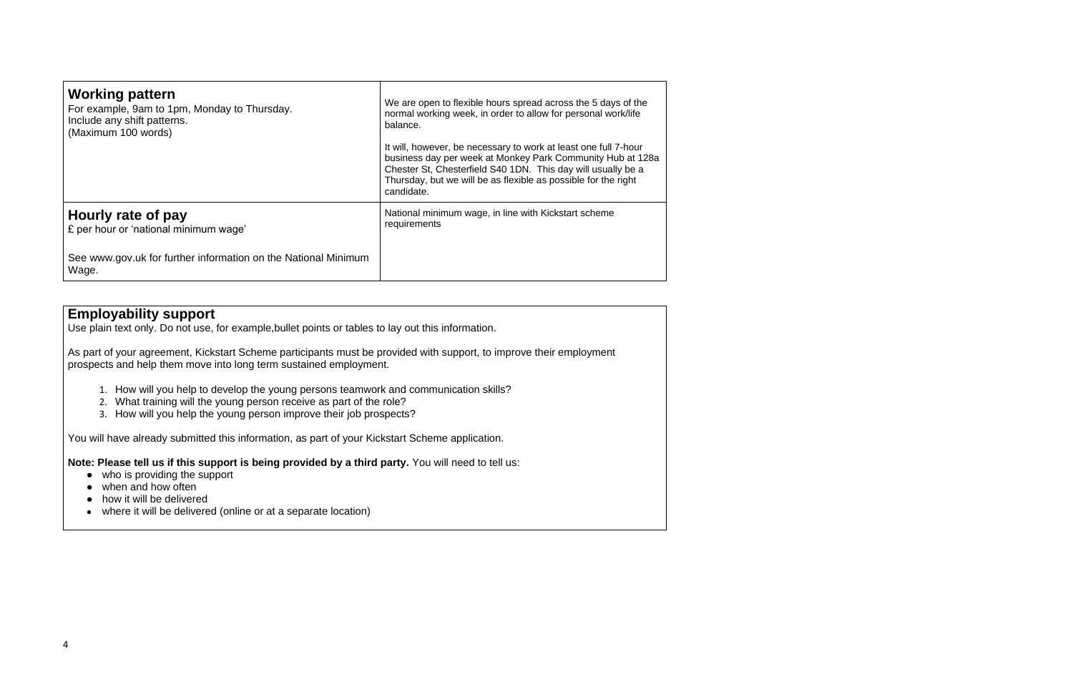| <b>Working pattern</b><br>For example, 9am to 1pm, Monday to Thursday.<br>Include any shift patterns.<br>(Maximum 100 words) | We are open to flexible hours spread across the 5 days of the<br>normal working week, in order to allow for personal work/life<br>balance.<br>It will, however, be necessary to work at least one full 7-hour<br>business day per week at Monkey Park Community Hub at 128a<br>Chester St, Chesterfield S40 1DN. This day will usually be a<br>Thursday, but we will be as flexible as possible for the right<br>candidate. |
|------------------------------------------------------------------------------------------------------------------------------|-----------------------------------------------------------------------------------------------------------------------------------------------------------------------------------------------------------------------------------------------------------------------------------------------------------------------------------------------------------------------------------------------------------------------------|
| Hourly rate of pay<br>£ per hour or 'national minimum wage'                                                                  | National minimum wage, in line with Kickstart scheme<br>requirements                                                                                                                                                                                                                                                                                                                                                        |
| See www.gov.uk for further information on the National Minimum<br>Wage.                                                      |                                                                                                                                                                                                                                                                                                                                                                                                                             |

## **Employability support**

Use plain text only. Do not use, for example,bullet points or tables to lay out this information.

- who is providing the support
- when and how often
- how it will be delivered
- where it will be delivered (online or at a separate location)

As part of your agreement, Kickstart Scheme participants must be provided with support, to improve their employment prospects and help them move into long term sustained employment.

- 1. How will you help to develop the young persons teamwork and communication skills?
- 2. What training will the young person receive as part of the role?
- 3. How will you help the young person improve their job prospects?

You will have already submitted this information, as part of your Kickstart Scheme application.

**Note: Please tell us if this support is being provided by a third party.** You will need to tell us: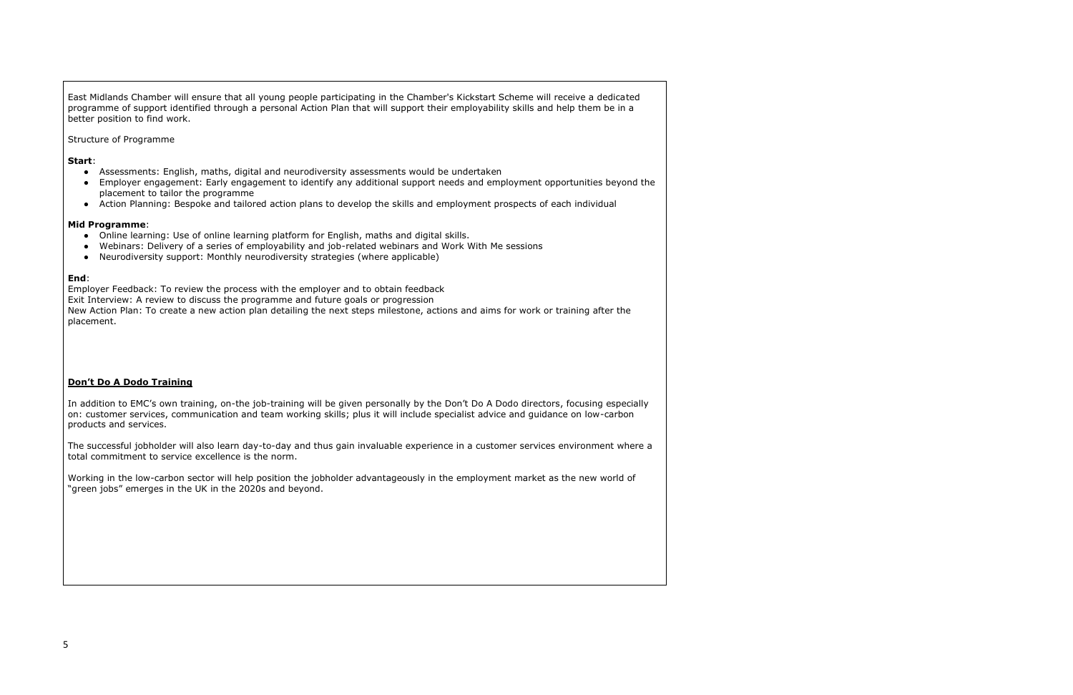East Midlands Chamber will ensure that all young people participating in the Chamber's Kickstart Scheme will receive a dedicated programme of support identified through a personal Action Plan that will support their employability skills and help them be in a better position to find work.

Structure of Programme

#### **Start**:

- Assessments: English, maths, digital and neurodiversity assessments would be undertaken
- Employer engagement: Early engagement to identify any additional support needs and employment opportunities beyond the placement to tailor the programme
- Action Planning: Bespoke and tailored action plans to develop the skills and employment prospects of each individual

#### **Mid Programme**:

- Online learning: Use of online learning platform for English, maths and digital skills.
- Webinars: Delivery of a series of employability and job-related webinars and Work With Me sessions
- Neurodiversity support: Monthly neurodiversity strategies (where applicable)

#### **End**:

Employer Feedback: To review the process with the employer and to obtain feedback

Exit Interview: A review to discuss the programme and future goals or progression

New Action Plan: To create a new action plan detailing the next steps milestone, actions and aims for work or training after the placement.

### **Don't Do A Dodo Training**

In addition to EMC's own training, on-the job-training will be given personally by the Don't Do A Dodo directors, focusing especially on: customer services, communication and team working skills; plus it will include specialist advice and guidance on low-carbon products and services.

The successful jobholder will also learn day-to-day and thus gain invaluable experience in a customer services environment where a total commitment to service excellence is the norm.

Working in the low-carbon sector will help position the jobholder advantageously in the employment market as the new world of "green jobs" emerges in the UK in the 2020s and beyond.